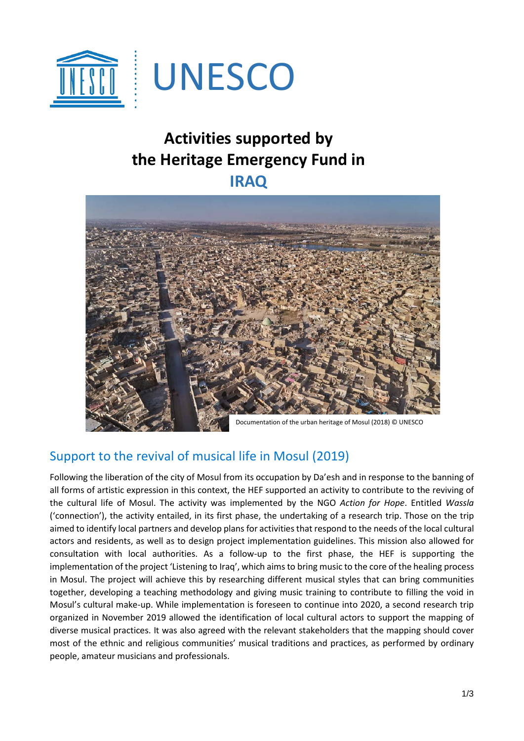

# **Activities supported by the Heritage Emergency Fund in IRAQ**



## Support to the revival of musical life in Mosul (2019)

Following the liberation of the city of Mosul from its occupation by Da'esh and in response to the banning of all forms of artistic expression in this context, the HEF supported an activity to contribute to the reviving of the cultural life of Mosul. The activity was implemented by the NGO *Action for Hope*. Entitled *Wassla* ('connection'), the activity entailed, in its first phase, the undertaking of a research trip. Those on the trip aimed to identify local partners and develop plans for activities that respond to the needs of the local cultural actors and residents, as well as to design project implementation guidelines. This mission also allowed for consultation with local authorities. As a follow-up to the first phase, the HEF is supporting the implementation of the project 'Listening to Iraq', which aims to bring music to the core of the healing process in Mosul. The project will achieve this by researching different musical styles that can bring communities together, developing a teaching methodology and giving music training to contribute to filling the void in Mosul's cultural make-up. While implementation is foreseen to continue into 2020, a second research trip organized in November 2019 allowed the identification of local cultural actors to support the mapping of diverse musical practices. It was also agreed with the relevant stakeholders that the mapping should cover most of the ethnic and religious communities' musical traditions and practices, as performed by ordinary people, amateur musicians and professionals.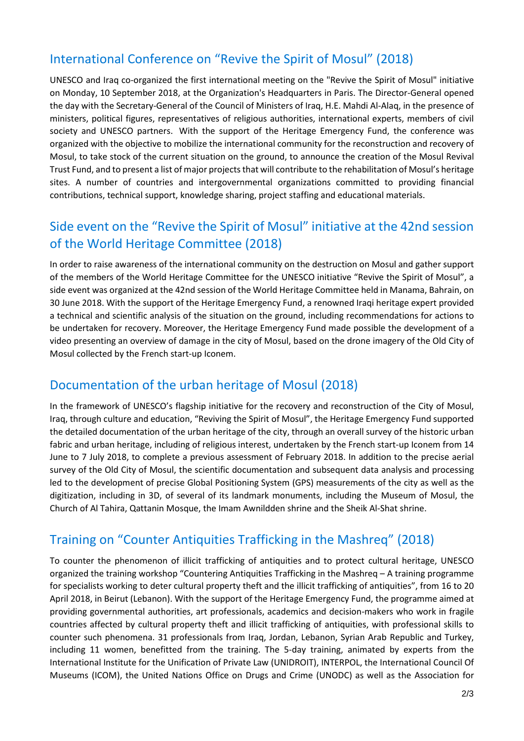## International Conference on "Revive the Spirit of Mosul" (2018)

UNESCO and Iraq co-organized the first international meeting on the "Revive the Spirit of Mosul" initiative on Monday, 10 September 2018, at the Organization's Headquarters in Paris. The Director-General opened the day with the Secretary-General of the Council of Ministers of Iraq, H.E. Mahdi Al-Alaq, in the presence of ministers, political figures, representatives of religious authorities, international experts, members of civil society and UNESCO partners. With the support of the Heritage Emergency Fund, the conference was organized with the objective to mobilize the international community for the reconstruction and recovery of Mosul, to take stock of the current situation on the ground, to announce the creation of the Mosul Revival Trust Fund, and to present a list of major projects that will contribute to the rehabilitation of Mosul's heritage sites. A number of countries and intergovernmental organizations committed to providing financial contributions, technical support, knowledge sharing, project staffing and educational materials.

### Side event on the "Revive the Spirit of Mosul" initiative at the 42nd session of the World Heritage Committee (2018)

In order to raise awareness of the international community on the destruction on Mosul and gather support of the members of the World Heritage Committee for the UNESCO initiative "Revive the Spirit of Mosul", a side event was organized at the 42nd session of the World Heritage Committee held in Manama, Bahrain, on 30 June 2018. With the support of the Heritage Emergency Fund, a renowned Iraqi heritage expert provided a technical and scientific analysis of the situation on the ground, including recommendations for actions to be undertaken for recovery. Moreover, the Heritage Emergency Fund made possible the development of a video presenting an overview of damage in the city of Mosul, based on the drone imagery of the Old City of Mosul collected by the French start-up Iconem.

#### Documentation of the urban heritage of Mosul (2018)

In the framework of UNESCO's flagship initiative for the recovery and reconstruction of the City of Mosul, Iraq, through culture and education, "Reviving the Spirit of Mosul", the Heritage Emergency Fund supported the detailed documentation of the urban heritage of the city, through an overall survey of the historic urban fabric and urban heritage, including of religious interest, undertaken by the French start-up Iconem from 14 June to 7 July 2018, to complete a previous assessment of February 2018. In addition to the precise aerial survey of the Old City of Mosul, the scientific documentation and subsequent data analysis and processing led to the development of precise Global Positioning System (GPS) measurements of the city as well as the digitization, including in 3D, of several of its landmark monuments, including the Museum of Mosul, the Church of Al Tahira, Qattanin Mosque, the Imam Awnildden shrine and the Sheik Al-Shat shrine.

## Training on "Counter Antiquities Trafficking in the Mashreq" (2018)

To counter the phenomenon of illicit trafficking of antiquities and to protect cultural heritage, UNESCO organized the training workshop "Countering Antiquities Trafficking in the Mashreq – A training programme for specialists working to deter cultural property theft and the illicit trafficking of antiquities", from 16 to 20 April 2018, in Beirut (Lebanon). With the support of the Heritage Emergency Fund, the programme aimed at providing governmental authorities, art professionals, academics and decision-makers who work in fragile countries affected by cultural property theft and illicit trafficking of antiquities, with professional skills to counter such phenomena. 31 professionals from Iraq, Jordan, Lebanon, Syrian Arab Republic and Turkey, including 11 women, benefitted from the training. The 5-day training, animated by experts from the International Institute for the Unification of Private Law (UNIDROIT), INTERPOL, the International Council Of Museums (ICOM), the United Nations Office on Drugs and Crime (UNODC) as well as the Association for